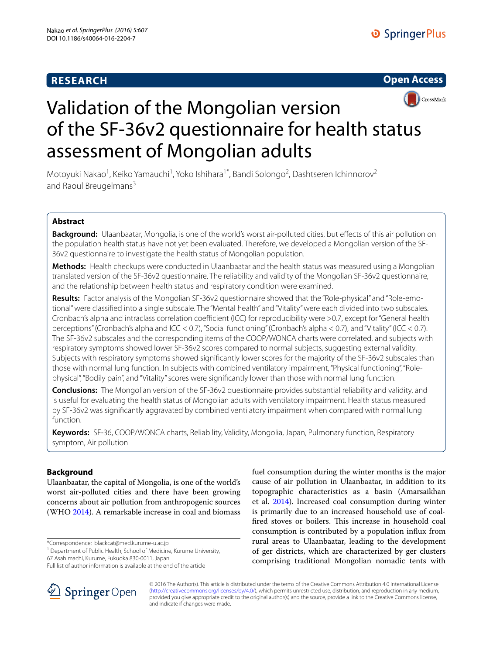# **RESEARCH**





# Validation of the Mongolian version of the SF-36v2 questionnaire for health status assessment of Mongolian adults

Motoyuki Nakao<sup>1</sup>, Keiko Yamauchi<sup>1</sup>, Yoko Ishihara<sup>1\*</sup>, Bandi Solongo<sup>2</sup>, Dashtseren Ichinnorov<sup>2</sup> and Raoul Breugelmans<sup>3</sup>

## **Abstract**

**Background:** Ulaanbaatar, Mongolia, is one of the world's worst air-polluted cities, but effects of this air pollution on the population health status have not yet been evaluated. Therefore, we developed a Mongolian version of the SF-36v2 questionnaire to investigate the health status of Mongolian population.

**Methods:** Health checkups were conducted in Ulaanbaatar and the health status was measured using a Mongolian translated version of the SF-36v2 questionnaire. The reliability and validity of the Mongolian SF-36v2 questionnaire, and the relationship between health status and respiratory condition were examined.

**Results:** Factor analysis of the Mongolian SF-36v2 questionnaire showed that the "Role-physical" and "Role-emotional" were classified into a single subscale. The "Mental health" and "Vitality" were each divided into two subscales. Cronbach's alpha and intraclass correlation coefficient (ICC) for reproducibility were >0.7, except for "General health perceptions" (Cronbach's alpha and ICC < 0.7), "Social functioning" (Cronbach's alpha < 0.7), and "Vitality" (ICC < 0.7). The SF-36v2 subscales and the corresponding items of the COOP/WONCA charts were correlated, and subjects with respiratory symptoms showed lower SF-36v2 scores compared to normal subjects, suggesting external validity. Subjects with respiratory symptoms showed significantly lower scores for the majority of the SF-36v2 subscales than those with normal lung function. In subjects with combined ventilatory impairment, "Physical functioning", "Rolephysical", "Bodily pain", and "Vitality" scores were significantly lower than those with normal lung function.

**Conclusions:** The Mongolian version of the SF-36v2 questionnaire provides substantial reliability and validity, and is useful for evaluating the health status of Mongolian adults with ventilatory impairment. Health status measured by SF-36v2 was significantly aggravated by combined ventilatory impairment when compared with normal lung function.

**Keywords:** SF-36, COOP/WONCA charts, Reliability, Validity, Mongolia, Japan, Pulmonary function, Respiratory symptom, Air pollution

## **Background**

Ulaanbaatar, the capital of Mongolia, is one of the world's worst air-polluted cities and there have been growing concerns about air pollution from anthropogenic sources (WHO [2014\)](#page-12-0). A remarkable increase in coal and biomass

\*Correspondence: blackcat@med.kurume-u.ac.jp 1

<sup>1</sup> Department of Public Health, School of Medicine, Kurume University, 67 Asahimachi, Kurume, Fukuoka 830-0011, Japan

fuel consumption during the winter months is the major cause of air pollution in Ulaanbaatar, in addition to its topographic characteristics as a basin (Amarsaikhan et al. [2014](#page-11-0)). Increased coal consumption during winter is primarily due to an increased household use of coalfired stoves or boilers. This increase in household coal consumption is contributed by a population influx from rural areas to Ulaanbaatar, leading to the development of ger districts, which are characterized by ger clusters comprising traditional Mongolian nomadic tents with



© 2016 The Author(s). This article is distributed under the terms of the Creative Commons Attribution 4.0 International License [\(http://creativecommons.org/licenses/by/4.0/\)](http://creativecommons.org/licenses/by/4.0/), which permits unrestricted use, distribution, and reproduction in any medium, provided you give appropriate credit to the original author(s) and the source, provide a link to the Creative Commons license, and indicate if changes were made.

Full list of author information is available at the end of the article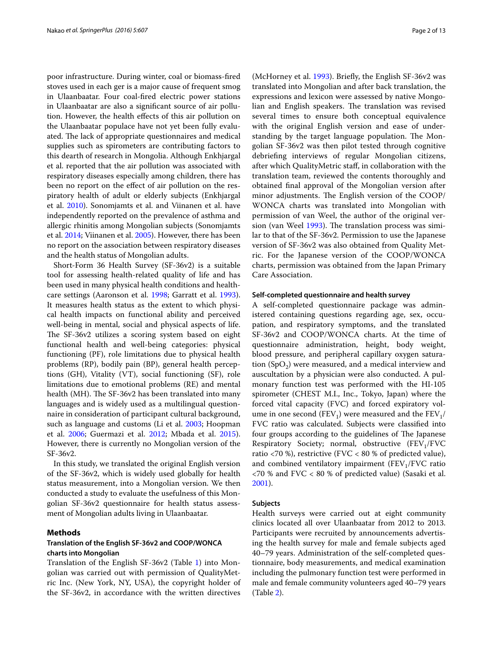poor infrastructure. During winter, coal or biomass-fired stoves used in each ger is a major cause of frequent smog in Ulaanbaatar. Four coal-fired electric power stations in Ulaanbaatar are also a significant source of air pollution. However, the health effects of this air pollution on the Ulaanbaatar populace have not yet been fully evaluated. The lack of appropriate questionnaires and medical supplies such as spirometers are contributing factors to this dearth of research in Mongolia. Although Enkhjargal et al. reported that the air pollution was associated with respiratory diseases especially among children, there has been no report on the effect of air pollution on the respiratory health of adult or elderly subjects (Enkhjargal et al. [2010\)](#page-11-1). Sonomjamts et al. and Viinanen et al. have independently reported on the prevalence of asthma and allergic rhinitis among Mongolian subjects (Sonomjamts et al. [2014;](#page-11-2) Viinanen et al. [2005\)](#page-11-3). However, there has been no report on the association between respiratory diseases and the health status of Mongolian adults.

Short-Form 36 Health Survey (SF-36v2) is a suitable tool for assessing health-related quality of life and has been used in many physical health conditions and healthcare settings (Aaronson et al. [1998](#page-11-4); Garratt et al. [1993](#page-11-5)). It measures health status as the extent to which physical health impacts on functional ability and perceived well-being in mental, social and physical aspects of life. The SF-36v2 utilizes a scoring system based on eight functional health and well-being categories: physical functioning (PF), role limitations due to physical health problems (RP), bodily pain (BP), general health perceptions (GH), Vitality (VT), social functioning (SF), role limitations due to emotional problems (RE) and mental health (MH). The SF-36v2 has been translated into many languages and is widely used as a multilingual questionnaire in consideration of participant cultural background, such as language and customs (Li et al. [2003;](#page-11-6) Hoopman et al. [2006](#page-11-7); Guermazi et al. [2012;](#page-11-8) Mbada et al. [2015](#page-11-9)). However, there is currently no Mongolian version of the SF-36v2.

In this study, we translated the original English version of the SF-36v2, which is widely used globally for health status measurement, into a Mongolian version. We then conducted a study to evaluate the usefulness of this Mongolian SF-36v2 questionnaire for health status assessment of Mongolian adults living in Ulaanbaatar.

## **Methods**

## **Translation of the English SF‑36v2 and COOP/WONCA charts into Mongolian**

Translation of the English SF-36v2 (Table [1\)](#page-2-0) into Mongolian was carried out with permission of QualityMetric Inc. (New York, NY, USA), the copyright holder of the SF-36v2, in accordance with the written directives

(McHorney et al. [1993](#page-11-10)). Briefly, the English SF-36v2 was translated into Mongolian and after back translation, the expressions and lexicon were assessed by native Mongolian and English speakers. The translation was revised several times to ensure both conceptual equivalence with the original English version and ease of understanding by the target language population. The Mongolian SF-36v2 was then pilot tested through cognitive debriefing interviews of regular Mongolian citizens, after which QualityMetric staff, in collaboration with the translation team, reviewed the contents thoroughly and obtained final approval of the Mongolian version after minor adjustments. The English version of the COOP/ WONCA charts was translated into Mongolian with permission of van Weel, the author of the original version (van Weel [1993\)](#page-11-11). The translation process was similar to that of the SF-36v2. Permission to use the Japanese version of SF-36v2 was also obtained from Quality Metric. For the Japanese version of the COOP/WONCA charts, permission was obtained from the Japan Primary Care Association.

### **Self‑completed questionnaire and health survey**

A self-completed questionnaire package was administered containing questions regarding age, sex, occupation, and respiratory symptoms, and the translated SF-36v2 and COOP/WONCA charts. At the time of questionnaire administration, height, body weight, blood pressure, and peripheral capillary oxygen saturation  $(SpO<sub>2</sub>)$  were measured, and a medical interview and auscultation by a physician were also conducted. A pulmonary function test was performed with the HI-105 spirometer (CHEST M.I., Inc., Tokyo, Japan) where the forced vital capacity (FVC) and forced expiratory volume in one second (FEV<sub>1</sub>) were measured and the FEV<sub>1</sub>/ FVC ratio was calculated. Subjects were classified into four groups according to the guidelines of The Japanese Respiratory Society; normal, obstructive  $(FEV_1/FVC)$ ratio <70 %), restrictive (FVC < 80 % of predicted value), and combined ventilatory impairment  $(FEV_1/FVC$  ratio <70 % and FVC < 80 % of predicted value) (Sasaki et al. [2001](#page-11-12)).

## **Subjects**

Health surveys were carried out at eight community clinics located all over Ulaanbaatar from 2012 to 2013. Participants were recruited by announcements advertising the health survey for male and female subjects aged 40–79 years. Administration of the self-completed questionnaire, body measurements, and medical examination including the pulmonary function test were performed in male and female community volunteers aged 40–79 years (Table [2\)](#page-3-0).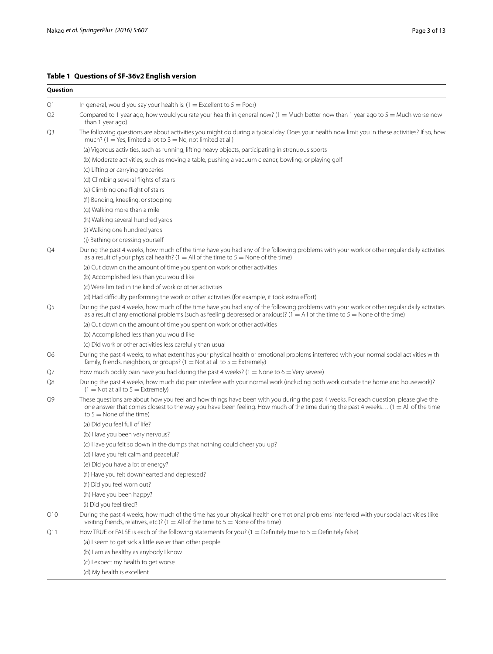## <span id="page-2-0"></span>**Table 1 Questions of SF-36v2 English version**

| Question       |                                                                                                                                                                                                                                                                                                         |
|----------------|---------------------------------------------------------------------------------------------------------------------------------------------------------------------------------------------------------------------------------------------------------------------------------------------------------|
| Q1             | In general, would you say your health is: $(1 = Excellent to 5 = Poor)$                                                                                                                                                                                                                                 |
| Q2             | Compared to 1 year ago, how would you rate your health in general now? (1 = Much better now than 1 year ago to 5 = Much worse now<br>than 1 year ago)                                                                                                                                                   |
| Q3             | The following questions are about activities you might do during a typical day. Does your health now limit you in these activities? If so, how<br>much? (1 = Yes, limited a lot to $3 =$ No, not limited at all)                                                                                        |
|                | (a) Vigorous activities, such as running, lifting heavy objects, participating in strenuous sports                                                                                                                                                                                                      |
|                | (b) Moderate activities, such as moving a table, pushing a vacuum cleaner, bowling, or playing golf                                                                                                                                                                                                     |
|                | (c) Lifting or carrying groceries                                                                                                                                                                                                                                                                       |
|                | (d) Climbing several flights of stairs                                                                                                                                                                                                                                                                  |
|                | (e) Climbing one flight of stairs                                                                                                                                                                                                                                                                       |
|                | (f) Bending, kneeling, or stooping                                                                                                                                                                                                                                                                      |
|                | (g) Walking more than a mile                                                                                                                                                                                                                                                                            |
|                | (h) Walking several hundred yards                                                                                                                                                                                                                                                                       |
|                | (i) Walking one hundred yards                                                                                                                                                                                                                                                                           |
|                | (j) Bathing or dressing yourself                                                                                                                                                                                                                                                                        |
| Q4             | During the past 4 weeks, how much of the time have you had any of the following problems with your work or other regular daily activities<br>as a result of your physical health? (1 = All of the time to $5 =$ None of the time)                                                                       |
|                | (a) Cut down on the amount of time you spent on work or other activities                                                                                                                                                                                                                                |
|                | (b) Accomplished less than you would like                                                                                                                                                                                                                                                               |
|                | (c) Were limited in the kind of work or other activities                                                                                                                                                                                                                                                |
|                | (d) Had difficulty performing the work or other activities (for example, it took extra effort)                                                                                                                                                                                                          |
| Q <sub>5</sub> | During the past 4 weeks, how much of the time have you had any of the following problems with your work or other regular daily activities<br>as a result of any emotional problems (such as feeling depressed or anxious)? $(1 = All$ of the time to $5 = None$ of the time)                            |
|                | (a) Cut down on the amount of time you spent on work or other activities                                                                                                                                                                                                                                |
|                | (b) Accomplished less than you would like                                                                                                                                                                                                                                                               |
|                | (c) Did work or other activities less carefully than usual                                                                                                                                                                                                                                              |
| Q6             | During the past 4 weeks, to what extent has your physical health or emotional problems interfered with your normal social activities with<br>family, friends, neighbors, or groups? ( $1 =$ Not at all to $5 =$ Extremely)                                                                              |
| Q7             | How much bodily pain have you had during the past 4 weeks? (1 = None to $6 =$ Very severe)                                                                                                                                                                                                              |
| Q8             | During the past 4 weeks, how much did pain interfere with your normal work (including both work outside the home and housework)?<br>$(1 = Not at all to 5 = Extremely)$                                                                                                                                 |
| Q9             | These questions are about how you feel and how things have been with you during the past 4 weeks. For each question, please give the<br>one answer that comes closest to the way you have been feeling. How much of the time during the past 4 weeks (1 = All of the time<br>to $5 =$ None of the time) |
|                | (a) Did you feel full of life?                                                                                                                                                                                                                                                                          |
|                | (b) Have you been very nervous?                                                                                                                                                                                                                                                                         |
|                | (c) Have you felt so down in the dumps that nothing could cheer you up?                                                                                                                                                                                                                                 |
|                | (d) Have you felt calm and peaceful?                                                                                                                                                                                                                                                                    |
|                | (e) Did you have a lot of energy?                                                                                                                                                                                                                                                                       |
|                | (f) Have you felt downhearted and depressed?                                                                                                                                                                                                                                                            |
|                | (f) Did you feel worn out?<br>(h) Have you been happy?                                                                                                                                                                                                                                                  |
|                |                                                                                                                                                                                                                                                                                                         |
| Q10            | (i) Did you feel tired?<br>During the past 4 weeks, how much of the time has your physical health or emotional problems interfered with your social activities (like                                                                                                                                    |
|                | visiting friends, relatives, etc.)? (1 = All of the time to $5 =$ None of the time)                                                                                                                                                                                                                     |
| Q11            | How TRUE or FALSE is each of the following statements for you? (1 = Definitely true to $5$ = Definitely false)                                                                                                                                                                                          |
|                | (a) I seem to get sick a little easier than other people                                                                                                                                                                                                                                                |
|                | (b) I am as healthy as anybody I know                                                                                                                                                                                                                                                                   |
|                | (c) I expect my health to get worse                                                                                                                                                                                                                                                                     |
|                | (d) My health is excellent                                                                                                                                                                                                                                                                              |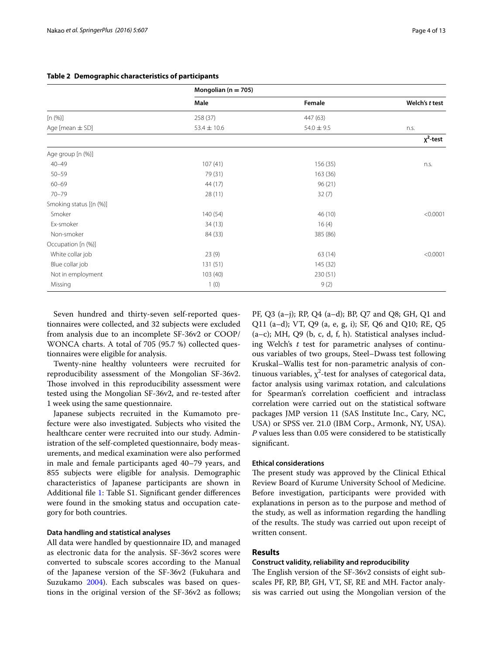|                         | Mongolian ( $n = 705$ ) |                |                |
|-------------------------|-------------------------|----------------|----------------|
|                         | Male                    | Female         | Welch's t test |
| [n (%)]                 | 258 (37)                | 447 (63)       |                |
| Age [mean $\pm$ SD]     | $53.4 \pm 10.6$         | $54.0 \pm 9.5$ | n.s.           |
|                         |                         |                | $\chi^2$ -test |
| Age group [n (%)]       |                         |                |                |
| $40 - 49$               | 107(41)                 | 156(35)        | n.s.           |
| $50 - 59$               | 79 (31)                 | 163(36)        |                |
| $60 - 69$               | 44 (17)                 | 96(21)         |                |
| $70 - 79$               | 28(11)                  | 32(7)          |                |
| Smoking status [(n (%)] |                         |                |                |
| Smoker                  | 140(54)                 | 46 (10)        | < 0.0001       |
| Ex-smoker               | 34(13)                  | 16(4)          |                |
| Non-smoker              | 84 (33)                 | 385 (86)       |                |
| Occupation [n (%)]      |                         |                |                |
| White collar job        | 23(9)                   | 63 (14)        | < 0.0001       |
| Blue collar job         | 131(51)                 | 145 (32)       |                |
| Not in employment       | 103(40)                 | 230 (51)       |                |
| Missing                 | 1(0)                    | 9(2)           |                |

## <span id="page-3-0"></span>**Table 2 Demographic characteristics of participants**

Seven hundred and thirty-seven self-reported questionnaires were collected, and 32 subjects were excluded from analysis due to an incomplete SF-36v2 or COOP/ WONCA charts. A total of 705 (95.7 %) collected questionnaires were eligible for analysis.

Twenty-nine healthy volunteers were recruited for reproducibility assessment of the Mongolian SF-36v2. Those involved in this reproducibility assessment were tested using the Mongolian SF-36v2, and re-tested after 1 week using the same questionnaire.

Japanese subjects recruited in the Kumamoto prefecture were also investigated. Subjects who visited the healthcare center were recruited into our study. Administration of the self-completed questionnaire, body measurements, and medical examination were also performed in male and female participants aged 40–79 years, and 855 subjects were eligible for analysis. Demographic characteristics of Japanese participants are shown in Additional file [1](#page-10-0): Table S1. Significant gender differences were found in the smoking status and occupation category for both countries.

## **Data handling and statistical analyses**

All data were handled by questionnaire ID, and managed as electronic data for the analysis. SF-36v2 scores were converted to subscale scores according to the Manual of the Japanese version of the SF-36v2 (Fukuhara and Suzukamo [2004](#page-11-13)). Each subscales was based on questions in the original version of the SF-36v2 as follows; PF, Q3 (a–j); RP, Q4 (a–d); BP, Q7 and Q8; GH, Q1 and Q11 (a–d); VT, Q9 (a, e, g, i); SF, Q6 and Q10; RE, Q5  $(a-c)$ ; MH, Q9  $(b, c, d, f, h)$ . Statistical analyses including Welch's *t* test for parametric analyses of continuous variables of two groups, Steel–Dwass test following Kruskal–Wallis test for non-parametric analysis of continuous variables,  $\chi^2$ -test for analyses of categorical data, factor analysis using varimax rotation, and calculations for Spearman's correlation coefficient and intraclass correlation were carried out on the statistical software packages JMP version 11 (SAS Institute Inc., Cary, NC, USA) or SPSS ver. 21.0 (IBM Corp., Armonk, NY, USA). *P* values less than 0.05 were considered to be statistically significant.

### **Ethical considerations**

The present study was approved by the Clinical Ethical Review Board of Kurume University School of Medicine. Before investigation, participants were provided with explanations in person as to the purpose and method of the study, as well as information regarding the handling of the results. The study was carried out upon receipt of written consent.

## **Results**

#### **Construct validity, reliability and reproducibility**

The English version of the SF-36v2 consists of eight subscales PF, RP, BP, GH, VT, SF, RE and MH. Factor analysis was carried out using the Mongolian version of the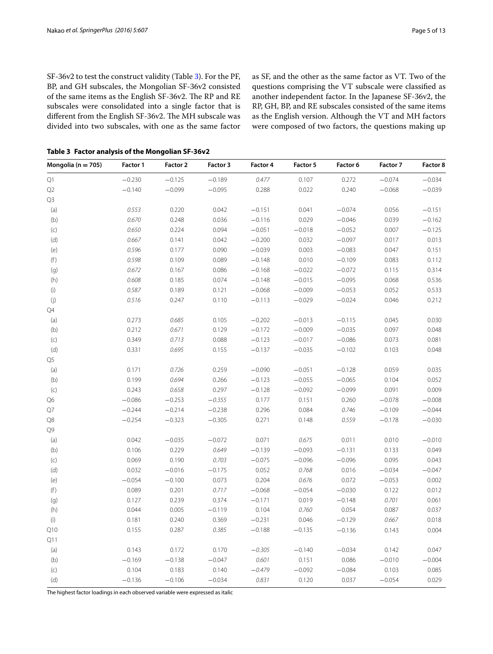SF-36v2 to test the construct validity (Table [3\)](#page-4-0). For the PF, BP, and GH subscales, the Mongolian SF-36v2 consisted of the same items as the English SF-36v2. The RP and RE subscales were consolidated into a single factor that is different from the English SF-36v2. The MH subscale was divided into two subscales, with one as the same factor

as SF, and the other as the same factor as VT. Two of the questions comprising the VT subscale were classified as another independent factor. In the Japanese SF-36v2, the RP, GH, BP, and RE subscales consisted of the same items as the English version. Although the VT and MH factors were composed of two factors, the questions making up

<span id="page-4-0"></span>**Table 3 Factor analysis of the Mongolian SF-36v2**

| Mongolia ( $n = 705$ ) | Factor 1 | Factor 2 | Factor 3 | Factor 4 | Factor 5 | Factor 6 | Factor 7 | <b>Factor 8</b> |
|------------------------|----------|----------|----------|----------|----------|----------|----------|-----------------|
| Q1                     | $-0.230$ | $-0.125$ | $-0.189$ | 0.477    | 0.107    | 0.272    | $-0.074$ | $-0.034$        |
| Q <sub>2</sub>         | $-0.140$ | $-0.099$ | $-0.095$ | 0.288    | 0.022    | 0.240    | $-0.068$ | $-0.039$        |
| Q3                     |          |          |          |          |          |          |          |                 |
| (a)                    | 0.553    | 0.220    | 0.042    | $-0.151$ | 0.041    | $-0.074$ | 0.056    | $-0.151$        |
| (b)                    | 0.670    | 0.248    | 0.036    | $-0.116$ | 0.029    | $-0.046$ | 0.039    | $-0.162$        |
| (c)                    | 0.650    | 0.224    | 0.094    | $-0.051$ | $-0.018$ | $-0.052$ | 0.007    | $-0.125$        |
| (d)                    | 0.667    | 0.141    | 0.042    | $-0.200$ | 0.032    | $-0.097$ | 0.017    | 0.013           |
| (e)                    | 0.596    | 0.177    | 0.090    | $-0.039$ | 0.003    | $-0.083$ | 0.047    | 0.151           |
| (f)                    | 0.598    | 0.109    | 0.089    | $-0.148$ | 0.010    | $-0.109$ | 0.083    | 0.112           |
| (g)                    | 0.672    | 0.167    | 0.086    | $-0.168$ | $-0.022$ | $-0.072$ | 0.115    | 0.314           |
| (h)                    | 0.608    | 0.185    | 0.074    | $-0.148$ | $-0.015$ | $-0.095$ | 0.068    | 0.536           |
| $(\sf i)$              | 0.587    | 0.189    | 0.121    | $-0.068$ | $-0.009$ | $-0.053$ | 0.052    | 0.533           |
| (j)                    | 0.516    | 0.247    | 0.110    | $-0.113$ | $-0.029$ | $-0.024$ | 0.046    | 0.212           |
| Q4                     |          |          |          |          |          |          |          |                 |
| (a)                    | 0.273    | 0.685    | 0.105    | $-0.202$ | $-0.013$ | $-0.115$ | 0.045    | 0.030           |
| (b)                    | 0.212    | 0.671    | 0.129    | $-0.172$ | $-0.009$ | $-0.035$ | 0.097    | 0.048           |
| (C)                    | 0.349    | 0.713    | 0.088    | $-0.123$ | $-0.017$ | $-0.086$ | 0.073    | 0.081           |
| (d)                    | 0.331    | 0.695    | 0.155    | $-0.137$ | $-0.035$ | $-0.102$ | 0.103    | 0.048           |
| Q5                     |          |          |          |          |          |          |          |                 |
| (a)                    | 0.171    | 0.726    | 0.259    | $-0.090$ | $-0.051$ | $-0.128$ | 0.059    | 0.035           |
| (b)                    | 0.199    | 0.694    | 0.266    | $-0.123$ | $-0.055$ | $-0.065$ | 0.104    | 0.052           |
| (C)                    | 0.243    | 0.658    | 0.297    | $-0.128$ | $-0.092$ | $-0.099$ | 0.091    | 0.009           |
| Q6                     | $-0.086$ | $-0.253$ | $-0.355$ | 0.177    | 0.151    | 0.260    | $-0.078$ | $-0.008$        |
| Q7                     | $-0.244$ | $-0.214$ | $-0.238$ | 0.296    | 0.084    | 0.746    | $-0.109$ | $-0.044$        |
| Q8                     | $-0.254$ | $-0.323$ | $-0.305$ | 0.271    | 0.148    | 0.559    | $-0.178$ | $-0.030$        |
| Q9                     |          |          |          |          |          |          |          |                 |
| (a)                    | 0.042    | $-0.035$ | $-0.072$ | 0.071    | 0.675    | 0.011    | 0.010    | $-0.010$        |
| (b)                    | 0.106    | 0.229    | 0.649    | $-0.139$ | $-0.093$ | $-0.131$ | 0.133    | 0.049           |
| $(\subset)$            | 0.069    | 0.190    | 0.703    | $-0.075$ | $-0.096$ | $-0.096$ | 0.095    | 0.043           |
| (d)                    | 0.032    | $-0.016$ | $-0.175$ | 0.052    | 0.768    | 0.016    | $-0.034$ | $-0.047$        |
| (e)                    | $-0.054$ | $-0.100$ | 0.073    | 0.204    | 0.676    | 0.072    | $-0.053$ | 0.002           |
| (f)                    | 0.089    | 0.201    | 0.717    | $-0.068$ | $-0.054$ | $-0.030$ | 0.122    | 0.012           |
| (g)                    | 0.127    | 0.239    | 0.374    | $-0.171$ | 0.019    | $-0.148$ | 0.701    | 0.061           |
| (h)                    | 0.044    | 0.005    | $-0.119$ | 0.104    | 0.760    | 0.054    | 0.087    | 0.037           |
| (i)                    | 0.181    | 0.240    | 0.369    | $-0.231$ | 0.046    | $-0.129$ | 0.667    | 0.018           |
| Q10                    | 0.155    | 0.287    | 0.385    | $-0.188$ | $-0.135$ | $-0.136$ | 0.143    | 0.004           |
| Q11                    |          |          |          |          |          |          |          |                 |
| (a)                    | 0.143    | 0.172    | 0.170    | $-0.305$ | $-0.140$ | $-0.034$ | 0.142    | 0.047           |
| (b)                    | $-0.169$ | $-0.138$ | $-0.047$ | 0.601    | 0.151    | 0.086    | $-0.010$ | $-0.004$        |
| (c)                    | 0.104    | 0.183    | 0.140    | $-0.479$ | $-0.092$ | $-0.084$ | 0.103    | 0.085           |
| (d)                    | $-0.136$ | $-0.106$ | $-0.034$ | 0.831    | 0.120    | 0.037    | $-0.054$ | 0.029           |

The highest factor loadings in each observed variable were expressed as italic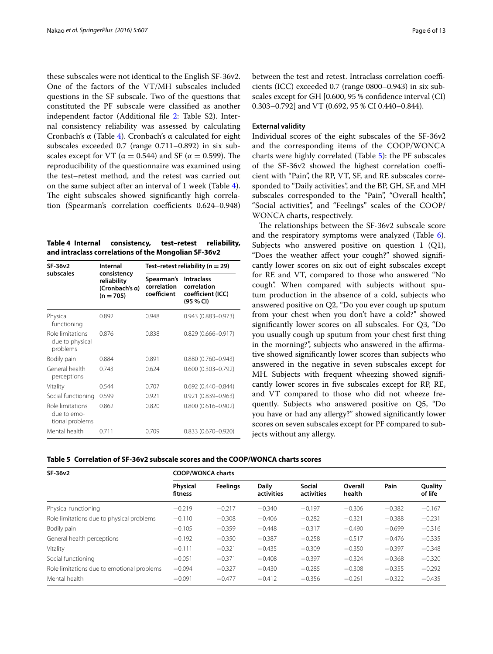these subscales were not identical to the English SF-36v2. One of the factors of the VT/MH subscales included questions in the SF subscale. Two of the questions that constituted the PF subscale were classified as another independent factor (Additional file [2](#page-10-1): Table S2). Internal consistency reliability was assessed by calculating Cronbach's α (Table [4\)](#page-5-0). Cronbach's α calculated for eight subscales exceeded 0.7 (range 0.711–0.892) in six subscales except for VT ( $\alpha = 0.544$ ) and SF ( $\alpha = 0.599$ ). The reproducibility of the questionnaire was examined using the test–retest method, and the retest was carried out on the same subject after an interval of 1 week (Table [4](#page-5-0)). The eight subscales showed significantly high correlation (Spearman's correlation coefficients 0.624–0.948)

<span id="page-5-0"></span>

| Table 4 Internal                                     | consistency, | test-retest | reliability, |
|------------------------------------------------------|--------------|-------------|--------------|
| and intraclass correlations of the Mongolian SF-36v2 |              |             |              |

| SF-36y2                                            | Internal                                                    |                                          | Test-retest reliability ( $n = 29$ )                               |
|----------------------------------------------------|-------------------------------------------------------------|------------------------------------------|--------------------------------------------------------------------|
| subscales                                          | consistency<br>reliability<br>(Cronbach's a)<br>$(n = 705)$ | Spearman's<br>correlation<br>coefficient | <b>Intraclass</b><br>correlation<br>coefficient (ICC)<br>(95 % CI) |
| Physical<br>functioning                            | 0.892                                                       | 0.948                                    | $0.943(0.883 - 0.973)$                                             |
| Role limitations<br>due to physical<br>problems    | 0.876                                                       | 0.838                                    | $0.829(0.666 - 0.917)$                                             |
| Bodily pain                                        | 0.884                                                       | 0.891                                    | $0.880(0.760 - 0.943)$                                             |
| General health<br>perceptions                      | 0.743                                                       | 0.624                                    | $0.600(0.303 - 0.792)$                                             |
| Vitality                                           | 0.544                                                       | 0.707                                    | $0.692(0.440 - 0.844)$                                             |
| Social functioning                                 | 0.599                                                       | 0.921                                    | $0.921(0.839 - 0.963)$                                             |
| Role limitations<br>due to emo-<br>tional problems | 0.862                                                       | 0.820                                    | $0.800(0.616 - 0.902)$                                             |
| Mental health                                      | 0.711                                                       | 0.709                                    | $0.833(0.670 - 0.920)$                                             |

between the test and retest. Intraclass correlation coefficients (ICC) exceeded 0.7 (range 0800–0.943) in six subscales except for GH [0.600, 95 % confidence interval (CI) 0.303–0.792] and VT (0.692, 95 % CI 0.440–0.844).

### **External validity**

Individual scores of the eight subscales of the SF-36v2 and the corresponding items of the COOP/WONCA charts were highly correlated (Table [5](#page-5-1)): the PF subscales of the SF-36v2 showed the highest correlation coefficient with "Pain", the RP, VT, SF, and RE subscales corresponded to "Daily activities", and the BP, GH, SF, and MH subscales corresponded to the "Pain", "Overall health", "Social activities", and "Feelings" scales of the COOP/ WONCA charts, respectively.

The relationships between the SF-36v2 subscale score and the respiratory symptoms were analyzed (Table [6](#page-6-0)). Subjects who answered positive on question 1 (Q1), "Does the weather affect your cough?" showed significantly lower scores on six out of eight subscales except for RE and VT, compared to those who answered "No cough". When compared with subjects without sputum production in the absence of a cold, subjects who answered positive on Q2, "Do you ever cough up sputum from your chest when you don't have a cold?" showed significantly lower scores on all subscales. For Q3, "Do you usually cough up sputum from your chest first thing in the morning?", subjects who answered in the affirmative showed significantly lower scores than subjects who answered in the negative in seven subscales except for MH. Subjects with frequent wheezing showed significantly lower scores in five subscales except for RP, RE, and VT compared to those who did not wheeze frequently. Subjects who answered positive on Q5, "Do you have or had any allergy?" showed significantly lower scores on seven subscales except for PF compared to subjects without any allergy.

<span id="page-5-1"></span>**Table 5 Correlation of SF-36v2 subscale scores and the COOP/WONCA charts scores**

| SF-36v2                                    | <b>COOP/WONCA charts</b>   |                 |                     |                             |                   |          |                    |  |  |
|--------------------------------------------|----------------------------|-----------------|---------------------|-----------------------------|-------------------|----------|--------------------|--|--|
|                                            | <b>Physical</b><br>fitness | <b>Feelings</b> | Daily<br>activities | <b>Social</b><br>activities | Overall<br>health | Pain     | Quality<br>of life |  |  |
| Physical functioning                       | $-0.219$                   | $-0.217$        | $-0.340$            | $-0.197$                    | $-0.306$          | $-0.382$ | $-0.167$           |  |  |
| Role limitations due to physical problems  | $-0.110$                   | $-0.308$        | $-0.406$            | $-0.282$                    | $-0.321$          | $-0.388$ | $-0.231$           |  |  |
| Bodily pain                                | $-0.105$                   | $-0.359$        | $-0.448$            | $-0.317$                    | $-0.490$          | $-0.699$ | $-0.316$           |  |  |
| General health perceptions                 | $-0.192$                   | $-0.350$        | $-0.387$            | $-0.258$                    | $-0.517$          | $-0.476$ | $-0.335$           |  |  |
| Vitality                                   | $-0.111$                   | $-0.321$        | $-0.435$            | $-0.309$                    | $-0.350$          | $-0.397$ | $-0.348$           |  |  |
| Social functioning                         | $-0.051$                   | $-0.371$        | $-0.408$            | $-0.397$                    | $-0.324$          | $-0.368$ | $-0.320$           |  |  |
| Role limitations due to emotional problems | $-0.094$                   | $-0.327$        | $-0.430$            | $-0.285$                    | $-0.308$          | $-0.355$ | $-0.292$           |  |  |
| Mental health                              | $-0.091$                   | $-0.477$        | $-0.412$            | $-0.356$                    | $-0.261$          | $-0.322$ | $-0.435$           |  |  |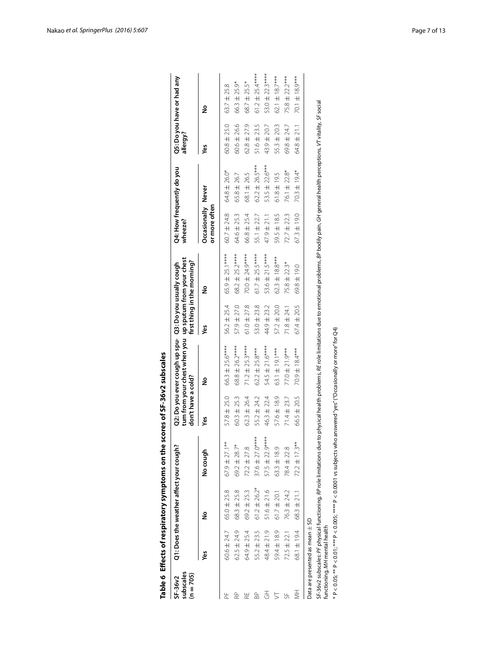|                                   |                                     | Table 6 Effects of respiratory symptoms on the                      |                     | scores of SF-36v2 subscales |                                                                                                                                                          |                 |                             |                                     |                           |                 |                            |
|-----------------------------------|-------------------------------------|---------------------------------------------------------------------|---------------------|-----------------------------|----------------------------------------------------------------------------------------------------------------------------------------------------------|-----------------|-----------------------------|-------------------------------------|---------------------------|-----------------|----------------------------|
| subscales<br>(n = 705)<br>SF-36v2 |                                     | Q1: Does the weather affect your cough?                             |                     | don't have a cold?          | tum from your chest when you up sputum from your chest<br>Q2: Do you ever cough up spu- Q3: Do you usually cough                                         |                 | first thing in the morning? | wheeze?                             | Q4: How frequently do you | allergy?        | Q5: Do you have or had any |
|                                   | уeз                                 | ş                                                                   | No cough            | уeз                         | ş                                                                                                                                                        | yes             | ş                           | Occasionally Never<br>or more often |                           | š               | ş                          |
| 눈                                 | 60.6 ± 24.7                         | $65.0 \pm 25.8$                                                     | $67.9 \pm 27.1***$  | $57.8 \pm 25.0$             | $66.3 \pm 25.6***$                                                                                                                                       | 56.2 ± 25.4     | $65.9 \pm 25.1***$          | 60.7 ± 24.8                         | 64.8 ± 26.0*              | $60.8 \pm 25.0$ | $63.7 \pm 25.8$            |
| RP                                | $62.5 \pm 24.9$                     | $68.3 \pm 25.8$                                                     | $69.2 \pm 28.7$ *   | $60.3 \pm 25.3$             | 68.8 ± 26.2****                                                                                                                                          | $57.9 \pm 27.0$ | $68.2 \pm 25.2***$          | 64.6 ± 25.3                         | $65.8 \pm 26.7$           | $60.6 \pm 26.6$ | 66.3 ± 25.9*               |
| Æ                                 | 64.9 ± 25.4                         | $69.2 \pm 25.3$                                                     | $72.2 \pm 27.8$     | $62.3 \pm 26.4$             | $71.2 \pm 25.3***$                                                                                                                                       | $61.0 \pm 27.8$ | 70.0 ± 24.9****             | 66.8 ± 25.4                         | 68.1 ± 26.5               | $62.8 \pm 27.9$ | 68.7 ± 25.5*               |
| BP.                               | 55.2 ± 23.5                         | $61.2 \pm 26.2*$                                                    | 37.6 $\pm$ 27.0**** | 55.2 ± 24.2                 | $62.2 \pm 25.8***$                                                                                                                                       | $53.0 \pm 23.8$ | 61.7 $\pm$ 25.5***          | 55.1 ± 22.7                         | $62.2 \pm 26.5***$        | $51.6 \pm 23.5$ | 61.2 $\pm$ 25.4***         |
| 3                                 | 48.4 ± 21.9                         | $51.6 \pm 21.6$                                                     | 57.5 $\pm$ 22.9***  | 46.3 ± 22.4                 | 54.5 ± 21.6****                                                                                                                                          | 44.9 ± 23.2     | 53.6 ± 21.5****             | 47.9 ± 21.1                         | 53.5 ± 22.6***            | 43.9 ± 20.7     | 53.0 ± 22.3****            |
| 5                                 | 59.4 ± 18.9                         | $61.7 \pm 20.1$                                                     | $63.3 \pm 18.9$     | $57.6 \pm 18.9$             | 63.1 ± 19.1***                                                                                                                                           | $57.2 \pm 20.0$ | $62.3 \pm 18.8***$          | 59.5 ± 18.5                         | $61.8 \pm 19.5$           | 55.3 ± 20.3     | 62.1 ± 18.7***             |
| 뉴                                 | $72.5 \pm 22.1$                     | 76.3 ± 24.2                                                         | 78.4 ± 22.8         | $71.4 \pm 23.7$             | $77.0 \pm 21.9***$                                                                                                                                       | $71.8 \pm 24.1$ | 75.8 ± 22.3*                | $72.7 \pm 22.3$                     | 76.1 ± 22.8*              | 69.8 ± 24.7     | 75.8 ± 22.2***             |
| ₹                                 | 68.1 ± 19.4                         | $68.3 \pm 21.1$                                                     | $72.2 \pm 17.3***$  | 66.5 ± 20.5                 | 70.9 ± 18.4***                                                                                                                                           | 67.4 ± 20.5     | 69.8 ± 19.0                 | $67.3 \pm 19.0$                     | 70.3 ± 19.4*              | $64.8 \pm 21.1$ | 70.1 ± 18.9***             |
|                                   | Data are presented as mean $\pm$ SD |                                                                     |                     |                             |                                                                                                                                                          |                 |                             |                                     |                           |                 |                            |
|                                   | functioning, MH mental health       | SF-36v2 subscales: PF physical functioning, RP role limitations due |                     |                             | to physical health problems, AE role limitations due to emotional problems, <i>BP</i> bodily pain, GH general health perceptions, VT vitality, SF social |                 |                             |                                     |                           |                 |                            |
|                                   |                                     |                                                                     |                     |                             | $^*$ P < 0.05; $^{**}$ P < 0.01; $^{***}$ P < 0.005; $^{****}$ P < 0.0001 vs subjects who answered "yes" ("Occasionally or more" for Q4)                 |                 |                             |                                     |                           |                 |                            |

<span id="page-6-0"></span>

| ֠ |
|---|
|   |
|   |
|   |
|   |
|   |
|   |
|   |
|   |
|   |
|   |
|   |
|   |
|   |
|   |
|   |
|   |
|   |
|   |
|   |
|   |
|   |
|   |
|   |
|   |
|   |
|   |
|   |
|   |
|   |
|   |
|   |
|   |
|   |
|   |
|   |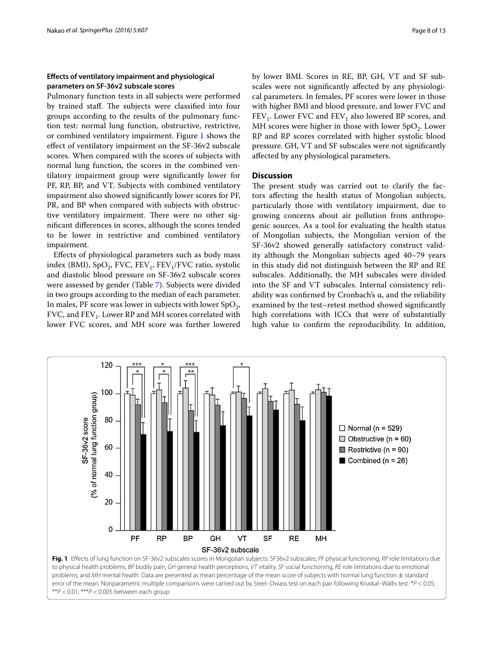## **Effects of ventilatory impairment and physiological parameters on SF‑36v2 subscale scores**

Pulmonary function tests in all subjects were performed by trained staff. The subjects were classified into four groups according to the results of the pulmonary function test: normal lung function, obstructive, restrictive, or combined ventilatory impairment. Figure [1](#page-7-0) shows the effect of ventilatory impairment on the SF-36v2 subscale scores. When compared with the scores of subjects with normal lung function, the scores in the combined ventilatory impairment group were significantly lower for PF, RP, BP, and VT. Subjects with combined ventilatory impairment also showed significantly lower scores for PF, PR, and BP when compared with subjects with obstructive ventilatory impairment. There were no other significant differences in scores, although the scores tended to be lower in restrictive and combined ventilatory impairment.

Effects of physiological parameters such as body mass index (BMI), SpO<sub>2</sub>, FVC, FEV<sub>1</sub>, FEV<sub>1</sub>/FVC ratio, systolic and diastolic blood pressure on SF-36v2 subscale scores were assessed by gender (Table [7\)](#page-8-0). Subjects were divided in two groups according to the median of each parameter. In males, PF score was lower in subjects with lower  $SpO<sub>2</sub>$ , FVC, and  $FEV_1$ . Lower RP and MH scores correlated with lower FVC scores, and MH score was further lowered by lower BMI. Scores in RE, BP, GH, VT and SF subscales were not significantly affected by any physiological parameters. In females, PF scores were lower in those with higher BMI and blood pressure, and lower FVC and  $FEV<sub>1</sub>$ . Lower FVC and  $FEV<sub>1</sub>$  also lowered BP scores, and MH scores were higher in those with lower  $SpO<sub>2</sub>$ . Lower RP and RP scores correlated with higher systolic blood pressure. GH, VT and SF subscales were not significantly affected by any physiological parameters.

## **Discussion**

The present study was carried out to clarify the factors affecting the health status of Mongolian subjects, particularly those with ventilatory impairment, due to growing concerns about air pollution from anthropogenic sources. As a tool for evaluating the health status of Mongolian subjects, the Mongolian version of the SF-36v2 showed generally satisfactory construct validity although the Mongolian subjects aged 40–79 years in this study did not distinguish between the RP and RE subscales. Additionally, the MH subscales were divided into the SF and VT subscales. Internal consistency reliability was confirmed by Cronbach's  $\alpha$ , and the reliability examined by the test–retest method showed significantly high correlations with ICCs that were of substantially high value to confirm the reproducibility. In addition,



<span id="page-7-0"></span>\*\**P* < 0.01; \*\*\**P* < 0.005 between each group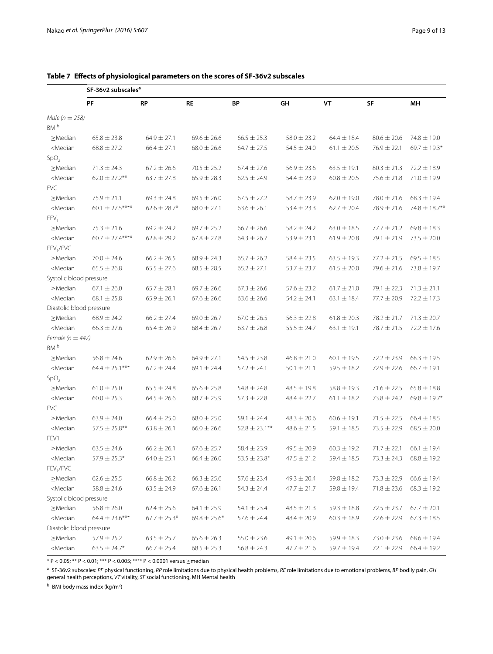|                                                                                                                                                                                                                                                                                                                                       | SF-36v2 subscales <sup>a</sup> |                  |                  |                    |                 |                 |                 |                  |
|---------------------------------------------------------------------------------------------------------------------------------------------------------------------------------------------------------------------------------------------------------------------------------------------------------------------------------------|--------------------------------|------------------|------------------|--------------------|-----------------|-----------------|-----------------|------------------|
|                                                                                                                                                                                                                                                                                                                                       | PF                             | RP               | <b>RE</b>        | ΒP                 | GH              | VT              | SF              | MН               |
| Male ( $n = 258$ )                                                                                                                                                                                                                                                                                                                    |                                |                  |                  |                    |                 |                 |                 |                  |
| <b>BMI</b> b                                                                                                                                                                                                                                                                                                                          |                                |                  |                  |                    |                 |                 |                 |                  |
| $\geq$ Median                                                                                                                                                                                                                                                                                                                         | $65.8 \pm 23.8$                | $64.9 \pm 27.1$  | $69.6 \pm 26.6$  | $66.5 \pm 25.3$    | $58.0 \pm 23.2$ | $64.4 \pm 18.4$ | $80.6 \pm 20.6$ | 74.8 ± 19.0      |
| <median< td=""><td><math>68.8 \pm 27.2</math></td><td><math>66.4 \pm 27.1</math></td><td><math>68.0 \pm 26.6</math></td><td><math>64.7 \pm 27.5</math></td><td><math>54.5 \pm 24.0</math></td><td><math>61.1 \pm 20.5</math></td><td><math>76.9 \pm 22.1</math></td><td><math>69.7 \pm 19.3*</math></td></median<>                    | $68.8 \pm 27.2$                | $66.4 \pm 27.1$  | $68.0 \pm 26.6$  | $64.7 \pm 27.5$    | $54.5 \pm 24.0$ | $61.1 \pm 20.5$ | $76.9 \pm 22.1$ | $69.7 \pm 19.3*$ |
| SpO <sub>2</sub>                                                                                                                                                                                                                                                                                                                      |                                |                  |                  |                    |                 |                 |                 |                  |
| $\geq$ Median                                                                                                                                                                                                                                                                                                                         | $71.3 \pm 24.3$                | $67.2 \pm 26.6$  | $70.5 \pm 25.2$  | $67.4 \pm 27.6$    | $56.9 \pm 23.6$ | $63.5 \pm 19.1$ | $80.3 \pm 21.3$ | $72.2 \pm 18.9$  |
| <median< td=""><td><math>62.0 \pm 27.2</math>**</td><td><math>63.7 \pm 27.8</math></td><td><math>65.9 \pm 28.3</math></td><td><math>62.5 \pm 24.9</math></td><td><math>54.4 \pm 23.9</math></td><td><math>60.8 \pm 20.5</math></td><td><math>75.6 \pm 21.8</math></td><td><math>71.0 \pm 19.9</math></td></median<>                   | $62.0 \pm 27.2$ **             | $63.7 \pm 27.8$  | $65.9 \pm 28.3$  | $62.5 \pm 24.9$    | $54.4 \pm 23.9$ | $60.8 \pm 20.5$ | $75.6 \pm 21.8$ | $71.0 \pm 19.9$  |
| <b>FVC</b>                                                                                                                                                                                                                                                                                                                            |                                |                  |                  |                    |                 |                 |                 |                  |
| $\geq$ Median                                                                                                                                                                                                                                                                                                                         | $75.9 \pm 21.1$                | $69.3 \pm 24.8$  | $69.5 \pm 26.0$  | $67.5 \pm 27.2$    | $58.7 \pm 23.9$ | $62.0 \pm 19.0$ | $78.0 \pm 21.6$ | $68.3 \pm 19.4$  |
| <median< td=""><td>60.1 <math>\pm</math> 27.5****</td><td><math>62.6 \pm 28.7*</math></td><td><math>68.0 \pm 27.1</math></td><td><math>63.6 \pm 26.1</math></td><td><math>53.4 \pm 23.3</math></td><td><math>62.7 \pm 20.4</math></td><td><math>78.9 \pm 21.6</math></td><td>74.8 ± 18.7**</td></median<>                             | 60.1 $\pm$ 27.5****            | $62.6 \pm 28.7*$ | $68.0 \pm 27.1$  | $63.6 \pm 26.1$    | $53.4 \pm 23.3$ | $62.7 \pm 20.4$ | $78.9 \pm 21.6$ | 74.8 ± 18.7**    |
| FEV <sub>1</sub>                                                                                                                                                                                                                                                                                                                      |                                |                  |                  |                    |                 |                 |                 |                  |
| $\geq$ Median                                                                                                                                                                                                                                                                                                                         | $75.3 \pm 21.6$                | $69.2 \pm 24.2$  | $69.7 \pm 25.2$  | $66.7 \pm 26.6$    | $58.2 \pm 24.2$ | $63.0 \pm 18.5$ | $77.7 \pm 21.2$ | $69.8 \pm 18.3$  |
| <median< td=""><td><math>60.7 \pm 27.4***</math></td><td><math>62.8 \pm 29.2</math></td><td><math>67.8 \pm 27.8</math></td><td><math>64.3 \pm 26.7</math></td><td><math>53.9 \pm 23.1</math></td><td><math>61.9 \pm 20.8</math></td><td><math>79.1 \pm 21.9</math></td><td><math>73.5 \pm 20.0</math></td></median<>                  | $60.7 \pm 27.4***$             | $62.8 \pm 29.2$  | $67.8 \pm 27.8$  | $64.3 \pm 26.7$    | $53.9 \pm 23.1$ | $61.9 \pm 20.8$ | $79.1 \pm 21.9$ | $73.5 \pm 20.0$  |
| FEV <sub>1</sub> /FVC                                                                                                                                                                                                                                                                                                                 |                                |                  |                  |                    |                 |                 |                 |                  |
| $\geq$ Median                                                                                                                                                                                                                                                                                                                         | $70.0 \pm 24.6$                | $66.2 \pm 26.5$  | $68.9 \pm 24.3$  | $65.7 \pm 26.2$    | $58.4 \pm 23.5$ | $63.5 \pm 19.3$ | $77.2 \pm 21.5$ | $69.5 \pm 18.5$  |
| <median< td=""><td><math>65.5 \pm 26.8</math></td><td><math>65.5 \pm 27.6</math></td><td><math>68.5 \pm 28.5</math></td><td><math>65.2 \pm 27.1</math></td><td><math>53.7 \pm 23.7</math></td><td><math>61.5 \pm 20.0</math></td><td><math>79.6 \pm 21.6</math></td><td><math>73.8 \pm 19.7</math></td></median<>                     | $65.5 \pm 26.8$                | $65.5 \pm 27.6$  | $68.5 \pm 28.5$  | $65.2 \pm 27.1$    | $53.7 \pm 23.7$ | $61.5 \pm 20.0$ | $79.6 \pm 21.6$ | $73.8 \pm 19.7$  |
| Systolic blood pressure                                                                                                                                                                                                                                                                                                               |                                |                  |                  |                    |                 |                 |                 |                  |
| $\geq$ Median                                                                                                                                                                                                                                                                                                                         | $67.1 \pm 26.0$                | $65.7 \pm 28.1$  | $69.7 \pm 26.6$  | $67.3 \pm 26.6$    | $57.6 \pm 23.2$ | $61.7 \pm 21.0$ | 79.1 ± 22.3     | $71.3 \pm 21.1$  |
| <median< td=""><td><math>68.1 \pm 25.8</math></td><td><math>65.9 \pm 26.1</math></td><td><math>67.6 \pm 26.6</math></td><td><math>63.6 \pm 26.6</math></td><td><math>54.2 \pm 24.1</math></td><td><math>63.1 \pm 18.4</math></td><td><math>77.7 \pm 20.9</math></td><td><math>72.2 \pm 17.3</math></td></median<>                     | $68.1 \pm 25.8$                | $65.9 \pm 26.1$  | $67.6 \pm 26.6$  | $63.6 \pm 26.6$    | $54.2 \pm 24.1$ | $63.1 \pm 18.4$ | $77.7 \pm 20.9$ | $72.2 \pm 17.3$  |
| Diastolic blood pressure                                                                                                                                                                                                                                                                                                              |                                |                  |                  |                    |                 |                 |                 |                  |
| $\geq$ Median                                                                                                                                                                                                                                                                                                                         | $68.9 \pm 24.2$                | $66.2 \pm 27.4$  | $69.0 \pm 26.7$  | $67.0 \pm 26.5$    | $56.3 \pm 22.8$ | $61.8 \pm 20.3$ | $78.2 \pm 21.7$ | $71.3 \pm 20.7$  |
| <median< td=""><td><math>66.3 \pm 27.6</math></td><td><math>65.4 \pm 26.9</math></td><td><math>68.4 \pm 26.7</math></td><td><math>63.7 \pm 26.8</math></td><td><math>55.5 \pm 24.7</math></td><td><math>63.1 \pm 19.1</math></td><td>78.7 ± 21.5</td><td><math>72.2 \pm 17.6</math></td></median<>                                    | $66.3 \pm 27.6$                | $65.4 \pm 26.9$  | $68.4 \pm 26.7$  | $63.7 \pm 26.8$    | $55.5 \pm 24.7$ | $63.1 \pm 19.1$ | 78.7 ± 21.5     | $72.2 \pm 17.6$  |
| Female ( $n = 447$ )                                                                                                                                                                                                                                                                                                                  |                                |                  |                  |                    |                 |                 |                 |                  |
| <b>BMI</b> b                                                                                                                                                                                                                                                                                                                          |                                |                  |                  |                    |                 |                 |                 |                  |
| $\geq$ Median                                                                                                                                                                                                                                                                                                                         | $56.8 \pm 24.6$                | $62.9 \pm 26.6$  | $64.9 \pm 27.1$  | $54.5 \pm 23.8$    | $46.8 \pm 21.0$ | $60.1 \pm 19.5$ | $72.2 \pm 23.9$ | $68.3 \pm 19.5$  |
| <median< td=""><td><math>64.4 \pm 25.1***</math></td><td><math>67.2 \pm 24.4</math></td><td>69.1 <math>\pm</math> 24.4</td><td><math>57.2 \pm 24.1</math></td><td><math>50.1 \pm 21.1</math></td><td><math>59.5 \pm 18.2</math></td><td><math>72.9 \pm 22.6</math></td><td><math>66.7 \pm 19.1</math></td></median<>                  | $64.4 \pm 25.1***$             | $67.2 \pm 24.4$  | 69.1 $\pm$ 24.4  | $57.2 \pm 24.1$    | $50.1 \pm 21.1$ | $59.5 \pm 18.2$ | $72.9 \pm 22.6$ | $66.7 \pm 19.1$  |
| SpO <sub>2</sub>                                                                                                                                                                                                                                                                                                                      |                                |                  |                  |                    |                 |                 |                 |                  |
| $\geq$ Median                                                                                                                                                                                                                                                                                                                         | $61.0 \pm 25.0$                | $65.5 \pm 24.8$  | $65.6 \pm 25.8$  | $54.8 \pm 24.8$    | $48.5 \pm 19.8$ | $58.8 \pm 19.3$ | $71.6 \pm 22.5$ | $65.8 \pm 18.8$  |
| <median< td=""><td><math>60.0 \pm 25.3</math></td><td><math>64.5 \pm 26.6</math></td><td><math>68.7 \pm 25.9</math></td><td><math>57.3 \pm 22.8</math></td><td><math>48.4 \pm 22.7</math></td><td><math>61.1 \pm 18.2</math></td><td><math>73.8 \pm 24.2</math></td><td><math>69.8 \pm 19.7*</math></td></median<>                    | $60.0 \pm 25.3$                | $64.5 \pm 26.6$  | $68.7 \pm 25.9$  | $57.3 \pm 22.8$    | $48.4 \pm 22.7$ | $61.1 \pm 18.2$ | $73.8 \pm 24.2$ | $69.8 \pm 19.7*$ |
| <b>FVC</b>                                                                                                                                                                                                                                                                                                                            |                                |                  |                  |                    |                 |                 |                 |                  |
| $\geq$ Median                                                                                                                                                                                                                                                                                                                         | $63.9 \pm 24.0$                | $66.4 \pm 25.0$  | $68.0 \pm 25.0$  | $59.1 \pm 24.4$    | $48.3 \pm 20.6$ | $60.6 \pm 19.1$ | $71.5 \pm 22.5$ | $66.4 \pm 18.5$  |
| <median< td=""><td><math>57.5 \pm 25.8</math>**</td><td><math>63.8 \pm 26.1</math></td><td><math>66.0 \pm 26.6</math></td><td><math>52.8 \pm 23.1***</math></td><td><math>48.6 \pm 21.5</math></td><td>59.1 <math>\pm</math> 18.5</td><td><math>73.5 \pm 22.9</math></td><td><math>68.5 \pm 20.0</math></td></median<>                | $57.5 \pm 25.8$ **             | $63.8 \pm 26.1$  | $66.0 \pm 26.6$  | $52.8 \pm 23.1***$ | $48.6 \pm 21.5$ | 59.1 $\pm$ 18.5 | $73.5 \pm 22.9$ | $68.5 \pm 20.0$  |
| FEV1                                                                                                                                                                                                                                                                                                                                  |                                |                  |                  |                    |                 |                 |                 |                  |
| $\geq$ Median                                                                                                                                                                                                                                                                                                                         | $63.5 \pm 24.6$                | $66.2 \pm 26.1$  | $67.6 \pm 25.7$  | $58.4 \pm 23.9$    | $49.5 \pm 20.9$ | $60.3 \pm 19.2$ | $71.7 \pm 22.1$ | $66.1 \pm 19.4$  |
| <median< td=""><td><math>57.9 \pm 25.3*</math></td><td><math>64.0 \pm 25.1</math></td><td><math>66.4 \pm 26.0</math></td><td><math>53.5 \pm 23.8*</math></td><td><math>47.5 \pm 21.2</math></td><td><math>59.4 \pm 18.5</math></td><td><math>73.3 \pm 24.3</math></td><td><math>68.8 \pm 19.2</math></td></median<>                   | $57.9 \pm 25.3*$               | $64.0 \pm 25.1$  | $66.4 \pm 26.0$  | $53.5 \pm 23.8*$   | $47.5 \pm 21.2$ | $59.4 \pm 18.5$ | $73.3 \pm 24.3$ | $68.8 \pm 19.2$  |
| FEV <sub>1</sub> /FVC                                                                                                                                                                                                                                                                                                                 |                                |                  |                  |                    |                 |                 |                 |                  |
| $\geq$ Median                                                                                                                                                                                                                                                                                                                         | $62.6 \pm 25.5$                | $66.8 \pm 26.2$  | $66.3 \pm 25.6$  | $57.6 \pm 23.4$    | $49.3 \pm 20.4$ | $59.8 \pm 18.2$ | $73.3 \pm 22.9$ | $66.6 \pm 19.4$  |
| <median< td=""><td><math>58.8 \pm 24.6</math></td><td><math>63.5 \pm 24.9</math></td><td><math>67.6 \pm 26.1</math></td><td><math>54.3 \pm 24.4</math></td><td><math>47.7 \pm 21.7</math></td><td><math>59.8 \pm 19.4</math></td><td><math>71.8 \pm 23.6</math></td><td><math>68.3 \pm 19.2</math></td></median<>                     | $58.8 \pm 24.6$                | $63.5 \pm 24.9$  | $67.6 \pm 26.1$  | $54.3 \pm 24.4$    | $47.7 \pm 21.7$ | $59.8 \pm 19.4$ | $71.8 \pm 23.6$ | $68.3 \pm 19.2$  |
| Systolic blood pressure                                                                                                                                                                                                                                                                                                               |                                |                  |                  |                    |                 |                 |                 |                  |
| $\geq$ Median                                                                                                                                                                                                                                                                                                                         | $56.8 \pm 26.0$                | $62.4 \pm 25.6$  | $64.1 \pm 25.9$  | 54.1 $\pm$ 23.4    | $48.5 \pm 21.3$ | $59.3 \pm 18.8$ | $72.5 \pm 23.7$ | $67.7 \pm 20.1$  |
| <median< td=""><td><math>64.4 \pm 23.6***</math></td><td><math>67.7 \pm 25.3*</math></td><td><math>69.8 \pm 25.6*</math></td><td><math>57.6 \pm 24.4</math></td><td><math>48.4 \pm 20.9</math></td><td><math display="inline">60.3\pm18.9</math></td><td><math>72.6 \pm 22.9</math></td><td><math>67.3 \pm 18.5</math></td></median<> | $64.4 \pm 23.6***$             | $67.7 \pm 25.3*$ | $69.8 \pm 25.6*$ | $57.6 \pm 24.4$    | $48.4 \pm 20.9$ | $60.3\pm18.9$   | $72.6 \pm 22.9$ | $67.3 \pm 18.5$  |
| Diastolic blood pressure<br>$\geq$ Median                                                                                                                                                                                                                                                                                             |                                |                  |                  |                    |                 |                 |                 |                  |
|                                                                                                                                                                                                                                                                                                                                       | $57.9 \pm 25.2$                | $63.5 \pm 25.7$  | $65.6 \pm 26.3$  | $55.0 \pm 23.6$    | $49.1 \pm 20.6$ | $59.9 \pm 18.3$ | $73.0 \pm 23.6$ | $68.6 \pm 19.4$  |
| <median< td=""><td><math>63.5 \pm 24.7*</math></td><td><math>66.7 \pm 25.4</math></td><td><math>68.5 \pm 25.3</math></td><td><math>56.8 \pm 24.3</math></td><td><math>47.7 \pm 21.6</math></td><td>59.7 ± 19.4</td><td><math>72.1 \pm 22.9</math></td><td><math>66.4 \pm 19.2</math></td></median<>                                   | $63.5 \pm 24.7*$               | $66.7 \pm 25.4$  | $68.5 \pm 25.3$  | $56.8 \pm 24.3$    | $47.7 \pm 21.6$ | 59.7 ± 19.4     | $72.1 \pm 22.9$ | $66.4 \pm 19.2$  |

## <span id="page-8-0"></span>**Table 7 Effects of physiological parameters on the scores of SF-36v2 subscales**

\* P < 0.05; \*\* P < 0.01; \*\*\* P < 0.005; \*\*\*\* P < 0.0001 versus ≥median

<sup>a</sup> SF-36v2 subscales: *PF* physical functioning, *RP* role limitations due to physical health problems, *RE* role limitations due to emotional problems, *BP* bodily pain, *GH* general health perceptions, *VT* vitality, *SF* social functioning, MH Mental health

<sup>b</sup> BMI body mass index (kg/m<sup>2</sup>)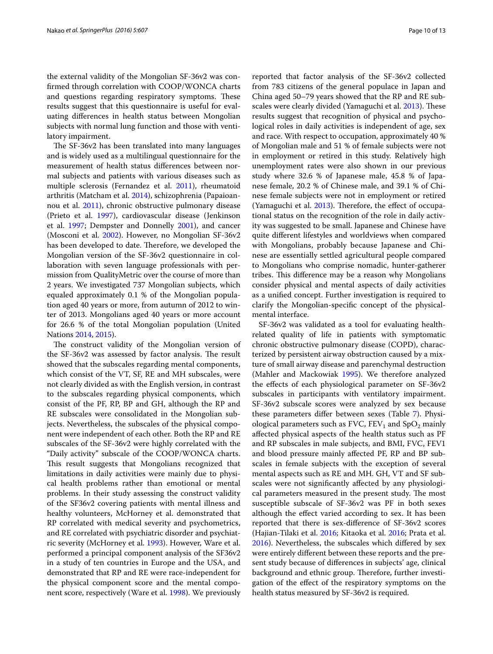the external validity of the Mongolian SF-36v2 was confirmed through correlation with COOP/WONCA charts and questions regarding respiratory symptoms. These results suggest that this questionnaire is useful for evaluating differences in health status between Mongolian subjects with normal lung function and those with ventilatory impairment.

The SF-36v2 has been translated into many languages and is widely used as a multilingual questionnaire for the measurement of health status differences between normal subjects and patients with various diseases such as multiple sclerosis (Fernandez et al. [2011](#page-11-14)), rheumatoid arthritis (Matcham et al. [2014\)](#page-11-15), schizophrenia (Papaioan-nou et al. [2011\)](#page-11-16), chronic obstructive pulmonary disease (Prieto et al. [1997\)](#page-11-17), cardiovascular disease (Jenkinson et al. [1997](#page-11-18); Dempster and Donnelly [2001](#page-11-19)), and cancer (Mosconi et al. [2002](#page-11-20)). However, no Mongolian SF-36v2 has been developed to date. Therefore, we developed the Mongolian version of the SF-36v2 questionnaire in collaboration with seven language professionals with permission from QualityMetric over the course of more than 2 years. We investigated 737 Mongolian subjects, which equaled approximately 0.1 % of the Mongolian population aged 40 years or more, from autumn of 2012 to winter of 2013. Mongolians aged 40 years or more account for 26.6 % of the total Mongolian population (United Nations [2014,](#page-11-21) [2015\)](#page-11-22).

The construct validity of the Mongolian version of the SF-36v2 was assessed by factor analysis. The result showed that the subscales regarding mental components, which consist of the VT, SF, RE and MH subscales, were not clearly divided as with the English version, in contrast to the subscales regarding physical components, which consist of the PF, RP, BP and GH, although the RP and RE subscales were consolidated in the Mongolian subjects. Nevertheless, the subscales of the physical component were independent of each other. Both the RP and RE subscales of the SF-36v2 were highly correlated with the "Daily activity" subscale of the COOP/WONCA charts. This result suggests that Mongolians recognized that limitations in daily activities were mainly due to physical health problems rather than emotional or mental problems. In their study assessing the construct validity of the SF36v2 covering patients with mental illness and healthy volunteers, McHorney et al. demonstrated that RP correlated with medical severity and psychometrics, and RE correlated with psychiatric disorder and psychiatric severity (McHorney et al. [1993](#page-11-10)). However, Ware et al. performed a principal component analysis of the SF36v2 in a study of ten countries in Europe and the USA, and demonstrated that RP and RE were race-independent for the physical component score and the mental component score, respectively (Ware et al. [1998](#page-11-23)). We previously reported that factor analysis of the SF-36v2 collected from 783 citizens of the general populace in Japan and China aged 50–79 years showed that the RP and RE subscales were clearly divided (Yamaguchi et al. [2013\)](#page-12-1). These results suggest that recognition of physical and psychological roles in daily activities is independent of age, sex and race. With respect to occupation, approximately 40 % of Mongolian male and 51 % of female subjects were not in employment or retired in this study. Relatively high unemployment rates were also shown in our previous study where 32.6 % of Japanese male, 45.8 % of Japanese female, 20.2 % of Chinese male, and 39.1 % of Chinese female subjects were not in employment or retired (Yamaguchi et al. [2013](#page-12-1)). Therefore, the effect of occupational status on the recognition of the role in daily activity was suggested to be small. Japanese and Chinese have quite different lifestyles and worldviews when compared with Mongolians, probably because Japanese and Chinese are essentially settled agricultural people compared to Mongolians who comprise nomadic, hunter-gatherer tribes. This difference may be a reason why Mongolians consider physical and mental aspects of daily activities as a unified concept. Further investigation is required to clarify the Mongolian-specific concept of the physicalmental interface.

SF-36v2 was validated as a tool for evaluating healthrelated quality of life in patients with symptomatic chronic obstructive pulmonary disease (COPD), characterized by persistent airway obstruction caused by a mixture of small airway disease and parenchymal destruction (Mahler and Mackowiak [1995\)](#page-11-24). We therefore analyzed the effects of each physiological parameter on SF-36v2 subscales in participants with ventilatory impairment. SF-36v2 subscale scores were analyzed by sex because these parameters differ between sexes (Table [7\)](#page-8-0). Physiological parameters such as FVC,  $FEV_1$  and  $SpO_2$  mainly affected physical aspects of the health status such as PF and RP subscales in male subjects, and BMI, FVC, FEV1 and blood pressure mainly affected PF, RP and BP subscales in female subjects with the exception of several mental aspects such as RE and MH. GH, VT and SF subscales were not significantly affected by any physiological parameters measured in the present study. The most susceptible subscale of SF-36v2 was PF in both sexes although the effect varied according to sex. It has been reported that there is sex-difference of SF-36v2 scores (Hajian-Tilaki et al. [2016;](#page-11-25) Kitaoka et al. [2016](#page-11-26); Prata et al. [2016](#page-11-27)). Nevertheless, the subscales which differed by sex were entirely different between these reports and the present study because of differences in subjects' age, clinical background and ethnic group. Therefore, further investigation of the effect of the respiratory symptoms on the health status measured by SF-36v2 is required.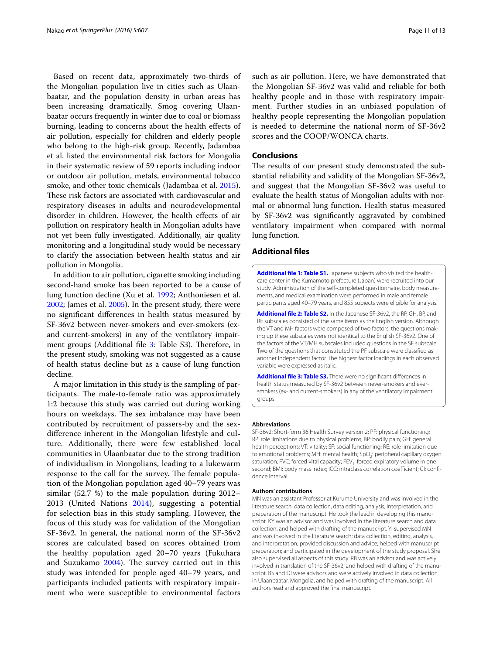Based on recent data, approximately two-thirds of the Mongolian population live in cities such as Ulaanbaatar, and the population density in urban areas has been increasing dramatically. Smog covering Ulaanbaatar occurs frequently in winter due to coal or biomass burning, leading to concerns about the health effects of air pollution, especially for children and elderly people who belong to the high-risk group. Recently, Jadambaa et al. listed the environmental risk factors for Mongolia in their systematic review of 59 reports including indoor or outdoor air pollution, metals, environmental tobacco smoke, and other toxic chemicals (Jadambaa et al. [2015](#page-11-28)). These risk factors are associated with cardiovascular and respiratory diseases in adults and neurodevelopmental disorder in children. However, the health effects of air pollution on respiratory health in Mongolian adults have not yet been fully investigated. Additionally, air quality monitoring and a longitudinal study would be necessary to clarify the association between health status and air pollution in Mongolia.

In addition to air pollution, cigarette smoking including second-hand smoke has been reported to be a cause of lung function decline (Xu et al. [1992;](#page-12-2) Anthoniesen et al. [2002](#page-11-29); James et al. [2005\)](#page-11-30). In the present study, there were no significant differences in health status measured by SF-36v2 between never-smokers and ever-smokers (exand current-smokers) in any of the ventilatory impair-ment groups (Additional file [3](#page-10-2): Table S3). Therefore, in the present study, smoking was not suggested as a cause of health status decline but as a cause of lung function decline.

A major limitation in this study is the sampling of participants. The male-to-female ratio was approximately 1:2 because this study was carried out during working hours on weekdays. The sex imbalance may have been contributed by recruitment of passers-by and the sexdifference inherent in the Mongolian lifestyle and culture. Additionally, there were few established local communities in Ulaanbaatar due to the strong tradition of individualism in Mongolians, leading to a lukewarm response to the call for the survey. The female population of the Mongolian population aged 40–79 years was similar (52.7 %) to the male population during 2012– 2013 (United Nations [2014](#page-11-21)), suggesting a potential for selection bias in this study sampling. However, the focus of this study was for validation of the Mongolian SF-36v2. In general, the national norm of the SF-36v2 scores are calculated based on scores obtained from the healthy population aged 20–70 years (Fukuhara and Suzukamo [2004\)](#page-11-13). The survey carried out in this study was intended for people aged 40–79 years, and participants included patients with respiratory impairment who were susceptible to environmental factors

such as air pollution. Here, we have demonstrated that the Mongolian SF-36v2 was valid and reliable for both healthy people and in those with respiratory impairment. Further studies in an unbiased population of healthy people representing the Mongolian population is needed to determine the national norm of SF-36v2 scores and the COOP/WONCA charts.

## **Conclusions**

The results of our present study demonstrated the substantial reliability and validity of the Mongolian SF-36v2, and suggest that the Mongolian SF-36v2 was useful to evaluate the health status of Mongolian adults with normal or abnormal lung function. Health status measured by SF-36v2 was significantly aggravated by combined ventilatory impairment when compared with normal lung function.

## **Additional files**

<span id="page-10-0"></span>**[Additional file 1: Table S1.](http://dx.doi.org/10.1186/s40064-016-2204-7)** Japanese subjects who visited the healthcare center in the Kumamoto prefecture (Japan) were recruited into our study. Administration of the self-completed questionnaire, body measurements, and medical examination were performed in male and female participants aged 40–79 years, and 855 subjects were eligible for analysis.

<span id="page-10-1"></span>**[Additional file 2: Table S2.](http://dx.doi.org/10.1186/s40064-016-2204-7)** In the Japanese SF-36v2, the RP, GH, BP, and RE subscales consisted of the same items as the English version. Although the VT and MH factors were composed of two factors, the questions making up these subscales were not identical to the English SF-36v2. One of the factors of the VT/MH subscales included questions in the SF subscale. Two of the questions that constituted the PF subscale were classified as another independent factor. The highest factor loadings in each observed variable were expressed as italic.

<span id="page-10-2"></span>**[Additional file 3: Table S3.](http://dx.doi.org/10.1186/s40064-016-2204-7)** There were no significant differences in health status measured by SF-36v2 between never-smokers and eversmokers (ex- and current-smokers) in any of the ventilatory impairment groups.

#### **Abbreviations**

SF-36v2: Short-form 36 Health Survey version 2; PF: physical functioning; RP: role limitations due to physical problems; BP: bodily pain; GH: general health perceptions; VT: vitality; SF: social functioning; RE: role limitation due to emotional problems; MH: mental health; SpO<sub>2</sub>: peripheral capillary oxygen saturation; FVC: forced vital capacity; FEV<sub>1</sub>: forced expiratory volume in one second; BMI: body mass index; ICC: intraclass correlation coefficient; CI: confidence interval.

#### **Authors' contributions**

MN was an assistant Professor at Kurume University and was involved in the literature search, data collection, data editing, analysis, interpretation, and preparation of the manuscript. He took the lead in developing this manuscript. KY was an advisor and was involved in the literature search and data collection, and helped with drafting of the manuscript. YI supervised MN and was involved in the literature search; data collection, editing, analysis, and interpretation; provided discussion and advice; helped with manuscript preparation; and participated in the development of the study proposal. She also supervised all aspects of this study. RB was an advisor and was actively involved in translation of the SF-36v2, and helped with drafting of the manuscript. BS and DI were advisors and were actively involved in data collection in Ulaanbaatar, Mongolia, and helped with drafting of the manuscript. All authors read and approved the final manuscript.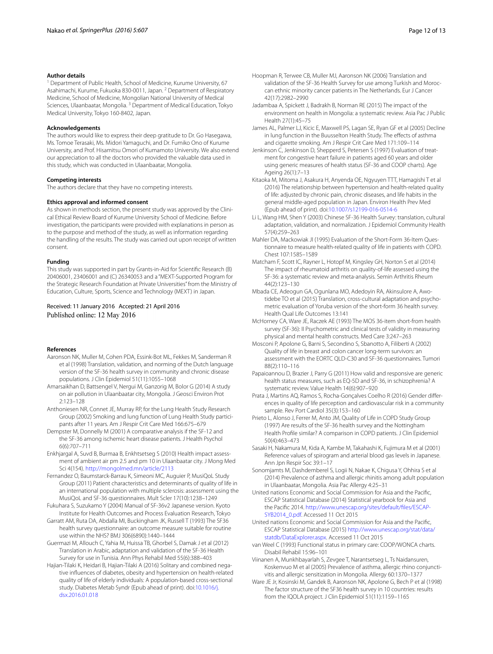#### **Author details**

<sup>1</sup> Department of Public Health, School of Medicine, Kurume University, 67 Asahimachi, Kurume, Fukuoka 830-0011, Japan. <sup>2</sup> Department of Respiratory Medicine, School of Medicine, Mongolian National University of Medical Sciences, Ulaanbaatar, Mongolia.<sup>3</sup> Department of Medical Education, Tokyo Medical University, Tokyo 160-8402, Japan.

#### **Acknowledgements**

The authors would like to express their deep gratitude to Dr. Go Hasegawa, Ms. Tomoe Terasaki, Ms. Midori Yamaguchi, and Dr. Fumiko Ono of Kurume University, and Prof. Hisamitsu Omori of Kumamoto University. We also extend our appreciation to all the doctors who provided the valuable data used in this study, which was conducted in Ulaanbaatar, Mongolia.

#### **Competing interests**

The authors declare that they have no competing interests.

#### **Ethics approval and informed consent**

As shown in methods section, the present study was approved by the Clinical Ethical Review Board of Kurume University School of Medicine. Before investigation, the participants were provided with explanations in person as to the purpose and method of the study, as well as information regarding the handling of the results. The study was carried out upon receipt of written consent.

#### **Funding**

This study was supported in part by Grants-in-Aid for Scientific Research (B) 20406001, 23406001 and (C) 26340053 and a "MEXT-Supported Program for the Strategic Research Foundation at Private Universities" from the Ministry of Education, Culture, Sports, Science and Technology (MEXT) in Japan.

#### Received: 11 January 2016 Accepted: 21 April 2016 Published online: 12 May 2016

#### **References**

- <span id="page-11-4"></span>Aaronson NK, Muller M, Cohen PDA, Essink-Bot ML, Fekkes M, Sanderman R et al (1998) Translation, validation, and norming of the Dutch language version of the SF-36 health survey in community and chronic disease populations. J Clin Epidemiol 51(11):1055–1068
- <span id="page-11-0"></span>Amarsaikhan D, Battsengel V, Nergui M, Ganzorig M, Bolor G (2014) A study on air pollution in Ulaanbaatar city, Mongolia. J Geosci Environ Prot 2:123–128
- <span id="page-11-29"></span>Anthoniesen NR, Connet JE, Murray RP, for the Lung Health Study Research Group (2002) Smoking and lung function of Lung Health Study participants after 11 years. Am J Respir Crit Care Med 166:675–679
- <span id="page-11-19"></span>Dempster M, Donnelly M (2001) A comparative analysis if the SF-12 and the SF-36 among ischemic heart disease patients. J Health Psychol 6(6):707–711
- <span id="page-11-1"></span>Enkhjargal A, Suvd B, Burmaa B, Enkhtsetseg S (2010) Health impact assessment of ambient air pm 2.5 and pm 10 in Ulaanbaatar city. J Mong Med Sci 4(154).<http://mongolmed.mn/article/2113>
- <span id="page-11-14"></span>Fernandez O, Baumstarck-Barrau K, Simeoni MC, Auguier P, MusiQoL Study Group (2011) Patient characteristics and determinants of quality of life in an international population with multiple sclerosis: assessment using the MusiQoL and SF-36 questionnaires. Mult Scler 17(10):1238–1249
- <span id="page-11-13"></span>Fukuhara S, Suzukamo Y (2004) Manual of SF-36v2 Japanese version. Kyoto Institute for Health Outcomes and Process Evaluation Research, Tokyo
- <span id="page-11-5"></span>Garratt AM, Ruta DA, Abdalla MI, Buckingham JK, Russell T (1993) The SF36 health survey questionnaire: an outcome measure suitable for routine use within the NHS? BMJ 306(6890):1440–1444
- <span id="page-11-8"></span>Guermazi M, Allouch C, Yahia M, Huissa TB, Ghorbel S, Damak J et al (2012) Translation in Arabic, adaptation and validation of the SF-36 Health Survey for use in Tunisia. Ann Phys Rehabil Med 55(6):388–403
- <span id="page-11-25"></span>Hajian-Tilaki K, Heidari B, Hajian-Tilaki A (2016) Solitary and combined negative influences of diabetes, obesity and hypertension on health-related quality of life of elderly individuals: A population-based cross-sectional study. Diabetes Metab Syndr (Epub ahead of print). doi:[10.1016/j.](http://dx.doi.org/10.1016/j.dsx.2016.01.018) [dsx.2016.01.018](http://dx.doi.org/10.1016/j.dsx.2016.01.018)
- <span id="page-11-7"></span>Hoopman R, Terwee CB, Muller MJ, Aaronson NK (2006) Translation and validation of the SF-36 Health Survey for use among Turkish and Moroccan ethnic minority cancer patients in The Netherlands. Eur J Cancer 42(17):2982–2990
- <span id="page-11-28"></span>Jadambaa A, Spickett J, Badrakh B, Norman RE (2015) The impact of the environment on health in Mongolia: a systematic review. Asia Pac J Public Health 27(1):45–75
- <span id="page-11-30"></span>James AL, Palmer LJ, Kicic E, Maxwell PS, Lagan SE, Ryan GF et al (2005) Decline in lung function in the Buusselton Health Study. The effects of asthma and cigarette smoking. Am J Respir Crit Care Med 171:109–114
- <span id="page-11-18"></span>Jenkinson C, Jenkinson D, Shepperd S, Petersen S (1997) Evaluation of treatment for congestive heart failure in patients aged 60 years and older using generic measures of health status (SF-36 and COOP charts). Age Ageing 26(1):7–13
- <span id="page-11-26"></span>Kitaoka M, Mitoma J, Asakura H, Anyenda OE, Ngyuyen TTT, Hamagishi T et al (2016) The relationship between hypertension and health-related quality of life: adjusted by chronic pain, chronic diseases, and life habits in the general middle-aged population in Japan. Environ Health Prev Med (Epub ahead of print). doi[:10.1007/s12199-016-0514-6](http://dx.doi.org/10.1007/s12199-016-0514-6)
- <span id="page-11-6"></span>Li L, Wang HM, Shen Y (2003) Chinese SF-36 Health Survey: translation, cultural adaptation, validation, and normalization. J Epidemiol Community Health 57(4):259–263
- <span id="page-11-24"></span>Mahler DA, Mackowiak JI (1995) Evaluation of the Short-Form 36-Item Questionnaire to measure health-related quality of life in patients with COPD. Chest 107:1585–1589
- <span id="page-11-15"></span>Matcham F, Scott IC, Rayner L, Hotopf M, Kingsley GH, Norton S et al (2014) The impact of rheumatoid arthritis on quality-of-life assessed using the SF-36: a systematic review and meta-analysis. Semin Arthritis Rheum 44(2):123–130
- <span id="page-11-9"></span>Mbada CE, Adeogun GA, Ogunlana MO, Adedoyin RA, Akinsulore A, Awotidebe TO et al (2015) Translation, cross-cultural adaptation and psychometric evaluation of Yoruba version of the short-form 36 health survey. Health Qual Life Outcomes 13:141
- <span id="page-11-10"></span>McHorney CA, Ware JE, Raczek AE (1993) The MOS 36-item short-from health survey (SF-36): II Psychometric and clinical tests of validity in measuring physical and mental health constructs. Med Care 3:247–263
- <span id="page-11-20"></span>Mosconi P, Apolone G, Barni S, Secondino S, Sbanotto A, Filiberti A (2002) Quality of life in breast and colon cancer long-term survivors: an assessment with the EORTC QLD-C30 and SF-36 questionnaires. Tumori 88(2):110–116
- <span id="page-11-16"></span>Papaioannou D, Brazier J, Parry G (2011) How valid and responsive are generic health status measures, such as EQ-5D and SF-36, in schizophrenia? A systematic review. Value Health 14(6):907–920
- <span id="page-11-27"></span>Prata J, Martins AQ, Ramos S, Rocha-Gonçalves Coelho R (2016) Gender differences in quality of life perception and cardiovascular risk in a community sample. Rev Port Cardiol 35(3):153–160
- <span id="page-11-17"></span>Prieto L, Alonso J, Ferrer M, Anto JM, Quality of Life in COPD Study Group (1997) Are results of the SF-36 health survey and the Nottingham Health Profile similar? A comparison in COPD patients. J Clin Epidemiol 50(4):463–473
- <span id="page-11-12"></span>Sasaki H, Nakamura M, Kida A, Kambe M, Takahashi K, Fujimura M et al (2001) Reference values of spirogram and arterial blood gas levels in Japanese. Ann Jpn Respir Soc 39:1–17
- <span id="page-11-2"></span>Sonomjamts M, Dashdemberel S, Logii N, Nakae K, Chigusa Y, Ohhira S et al (2014) Prevalence of asthma and allergic rhinitis among adult population in Ulaanbaatar, Mongolia. Asia Pac Allergy 4:25–31
- <span id="page-11-21"></span>United nations Economic and Social Commission for Asia and the Pacific, ESCAP Statistical Database (2014) Statistical yearbook for Asia and the Pacific 2014. [http://www.unescap.org/sites/default/files/ESCAP-](http://www.unescap.org/sites/default/files/ESCAP-SYB2014_0.pdf)[SYB2014\\_0.pdf](http://www.unescap.org/sites/default/files/ESCAP-SYB2014_0.pdf). Accessed 11 Oct 2015
- <span id="page-11-22"></span>United nations Economic and Social Commission for Asia and the Pacific, ESCAP Statistical Database (2015) [http://www.unescap.org/stat/data/](http://www.unescap.org/stat/data/statdb/DataExplorer.aspx) [statdb/DataExplorer.aspx](http://www.unescap.org/stat/data/statdb/DataExplorer.aspx). Accessed 11 Oct 2015
- <span id="page-11-11"></span>van Weel C (1993) Functional status in primary care: COOP/WONCA charts. Disabil Rehabil 15:96–101
- <span id="page-11-3"></span>Viinanen A, Munkhbayarlah S, Zevgee T, Narantsetseg L, Ts Naidansuren, Koskenvuo M et al (2005) Prevalence of asthma, allergic rhino conjunctivitis and allergic sensitization in Mongolia. Allergy 60:1370–1377
- <span id="page-11-23"></span>Ware JE Jr, Kosinski M, Gandek B, Aaronson NK, Apolone G, Bech P et al (1998) The factor structure of the SF36 health survey in 10 countries: results from the IQOLA project. J Clin Epidemiol 51(11):1159–1165